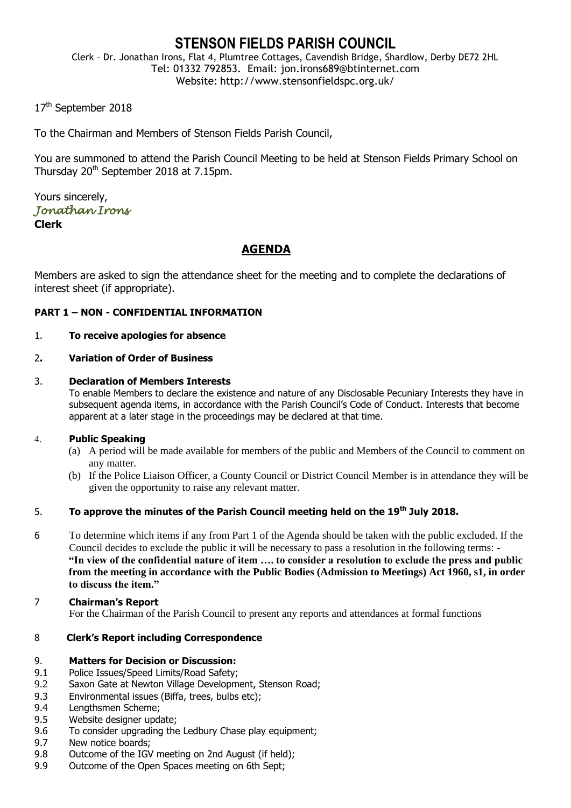# **STENSON FIELDS PARISH COUNCIL**

Clerk – Dr. Jonathan Irons, Flat 4, Plumtree Cottages, Cavendish Bridge, Shardlow, Derby DE72 2HL Tel: 01332 792853. Email: jon.irons689@btinternet.com Website: http://www.stensonfieldspc.org.uk/

17<sup>th</sup> September 2018

To the Chairman and Members of Stenson Fields Parish Council,

You are summoned to attend the Parish Council Meeting to be held at Stenson Fields Primary School on Thursday 20<sup>th</sup> September 2018 at 7.15pm.

Yours sincerely, *Jonathan Irons*  **Clerk**

## **AGENDA**

Members are asked to sign the attendance sheet for the meeting and to complete the declarations of interest sheet (if appropriate).

## **PART 1 – NON - CONFIDENTIAL INFORMATION**

## 1. **To receive apologies for absence**

## 2**. Variation of Order of Business**

## 3. **Declaration of Members Interests**

To enable Members to declare the existence and nature of any Disclosable Pecuniary Interests they have in subsequent agenda items, in accordance with the Parish Council's Code of Conduct. Interests that become apparent at a later stage in the proceedings may be declared at that time.

#### 4. **Public Speaking**

- (a) A period will be made available for members of the public and Members of the Council to comment on any matter.
- (b) If the Police Liaison Officer, a County Council or District Council Member is in attendance they will be given the opportunity to raise any relevant matter.

## 5. **To approve the minutes of the Parish Council meeting held on the 19th July 2018.**

6 To determine which items if any from Part 1 of the Agenda should be taken with the public excluded. If the Council decides to exclude the public it will be necessary to pass a resolution in the following terms: - **"In view of the confidential nature of item …. to consider a resolution to exclude the press and public from the meeting in accordance with the Public Bodies (Admission to Meetings) Act 1960, s1, in order to discuss the item."** 

#### 7 **Chairman's Report**

For the Chairman of the Parish Council to present any reports and attendances at formal functions

## 8 **Clerk's Report including Correspondence**

#### 9. **Matters for Decision or Discussion:**

- 9.1 Police Issues/Speed Limits/Road Safety;
- 9.2 Saxon Gate at Newton Village Development, Stenson Road;
- 9.3 Environmental issues (Biffa, trees, bulbs etc);
- 9.4 Lengthsmen Scheme;
- 9.5 Website designer update;
- 9.6 To consider upgrading the Ledbury Chase play equipment;
- 9.7 New notice boards;
- 9.8 Outcome of the IGV meeting on 2nd August (if held);
- 9.9 Outcome of the Open Spaces meeting on 6th Sept;